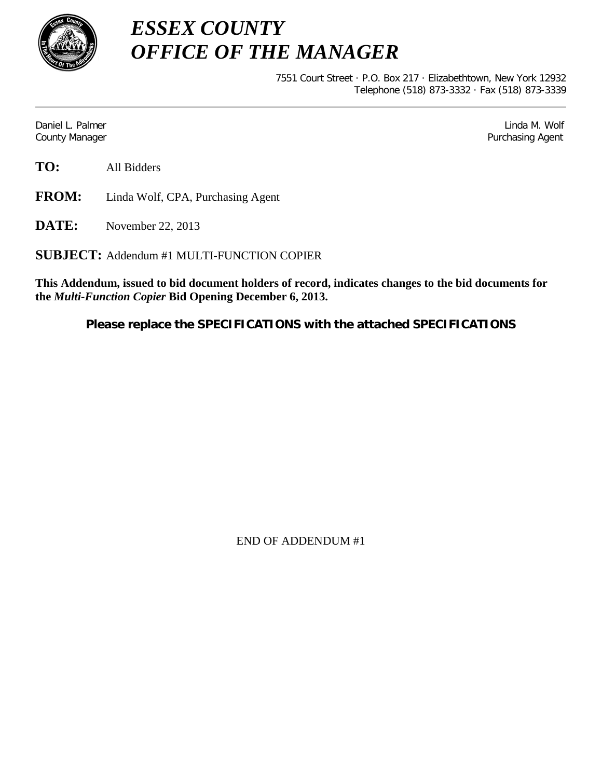

*ESSEX COUNTY OFFICE OF THE MANAGER*

> 7551 Court Street · P.O. Box 217 · Elizabethtown, New York 12932 Telephone (518) 873-3332 · Fax (518) 873-3339

Daniel L. Palmer Later and the control of the control of the control of the control of the control of the control of the control of the control of the control of the control of the control of the control of the control of County Manager **Purchasing Agent** County Manager **Purchasing Agent** County Manager

**TO:** All Bidders

**FROM:** Linda Wolf, CPA, Purchasing Agent

**DATE:** November 22, 2013

**SUBJECT:** Addendum #1 MULTI-FUNCTION COPIER

**This Addendum, issued to bid document holders of record, indicates changes to the bid documents for the** *Multi-Function Copier* **Bid Opening December 6, 2013.**

**Please replace the SPECIFICATIONS with the attached SPECIFICATIONS**

END OF ADDENDUM #1